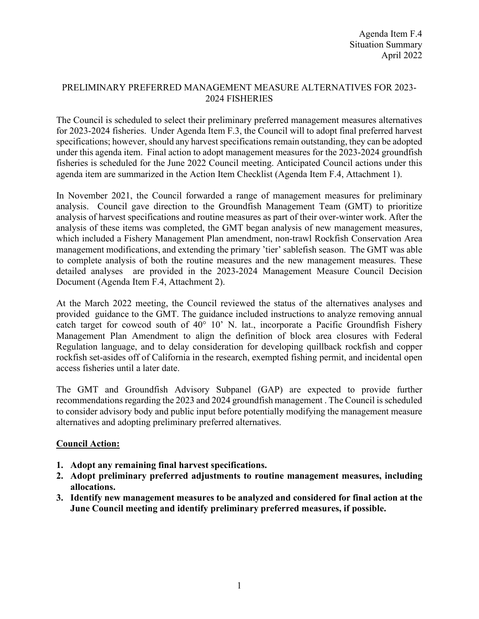## PRELIMINARY PREFERRED MANAGEMENT MEASURE ALTERNATIVES FOR 2023- 2024 FISHERIES

The Council is scheduled to select their preliminary preferred management measures alternatives for 2023-2024 fisheries. Under Agenda Item F.3, the Council will to adopt final preferred harvest specifications; however, should any harvest specifications remain outstanding, they can be adopted under this agenda item. Final action to adopt management measures for the 2023-2024 groundfish fisheries is scheduled for the June 2022 Council meeting. Anticipated Council actions under this agenda item are summarized in the Action Item Checklist (Agenda Item F.4, Attachment 1).

In November 2021, the Council forwarded a range of management measures for preliminary analysis. Council gave direction to the Groundfish Management Team (GMT) to prioritize analysis of harvest specifications and routine measures as part of their over-winter work. After the analysis of these items was completed, the GMT began analysis of new management measures, which included a Fishery Management Plan amendment, non-trawl Rockfish Conservation Area management modifications, and extending the primary 'tier' sablefish season. The GMT was able to complete analysis of both the routine measures and the new management measures. These detailed analyses are provided in the 2023-2024 Management Measure Council Decision Document (Agenda Item F.4, Attachment 2).

At the March 2022 meeting, the Council reviewed the status of the alternatives analyses and provided guidance to the GMT. The guidance included instructions to analyze removing annual catch target for cowcod south of 40° 10' N. lat., incorporate a Pacific Groundfish Fishery Management Plan Amendment to align the definition of block area closures with Federal Regulation language, and to delay consideration for developing quillback rockfish and copper rockfish set-asides off of California in the research, exempted fishing permit, and incidental open access fisheries until a later date.

The GMT and Groundfish Advisory Subpanel (GAP) are expected to provide further recommendations regarding the 2023 and 2024 groundfish management . The Council is scheduled to consider advisory body and public input before potentially modifying the management measure alternatives and adopting preliminary preferred alternatives.

## **Council Action:**

- **1. Adopt any remaining final harvest specifications.**
- **2. Adopt preliminary preferred adjustments to routine management measures, including allocations.**
- **3. Identify new management measures to be analyzed and considered for final action at the June Council meeting and identify preliminary preferred measures, if possible.**